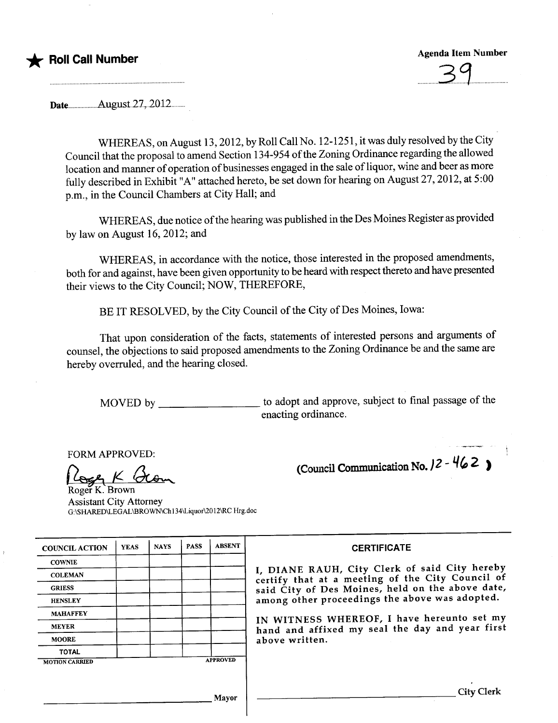# \* Roll Call Number

Agenda Item Number

 $\overline{\phantom{a}}$ 

Datennnnnnnnn..August27.~20i2n.nnn

WHEREAS, on August 13,2012, by Roll Call No. 12-1251, it was duly resolved by the City Council that the proposal to amend Section 134-954 of the Zoning Ordinance regarding the allowed location and manner of operation of businesses engaged in the sale of liquor, wine and beer as more fully described in Exhibit "A" attached hereto, be set down for hearing on August 27, 2012, at 5:00 p.m., in the Council Chambers at City Hall; and

WHEREAS, due notice of the hearing was published in the Des Moines Register as provided by law on August 16,2012; and

WHEREAS, in accordance with the notice, those interested in the proposed amendments, both for and against, have been given opportunity to be heard with respect thereto and have presented their views to the City Council; NOW, THEREFORE,

BE IT RESOLVED, by the City Council of the City of Des Moines, Iowa:

That upon consideration of the facts, statements of interested persons and arguments of counsel, the objections to said proposed amendments to the Zoning Ordinance be and the same are hereby overruled, and the hearing closed.

MOVED by \_\_\_\_\_\_\_\_\_\_\_\_\_\_\_\_\_ to adopt and approve, subject to final passage of the enacting ordinance.

(Council Communication No.  $12 - 462$ )

FORM APPROVED:<br>Roger K. Brown Assistant City Attorney G:\SHARED\LEGAL\BROWN\Ch134\Liquor\2012\RC Hrg.doc

| <b>COUNCIL ACTION</b> | <b>YEAS</b> | <b>NAYS</b> | <b>PASS</b> | <b>ABSENT</b>   | <b>CERTIFICATE</b>                                                                                |
|-----------------------|-------------|-------------|-------------|-----------------|---------------------------------------------------------------------------------------------------|
| <b>COWNIE</b>         |             |             |             |                 |                                                                                                   |
| <b>COLEMAN</b>        |             |             |             |                 | I, DIANE RAUH, City Clerk of said City hereby<br>certify that at a meeting of the City Council of |
| <b>GRIESS</b>         |             |             |             |                 | said City of Des Moines, held on the above date,                                                  |
| <b>HENSLEY</b>        |             |             |             |                 | among other proceedings the above was adopted.                                                    |
| <b>MAHAFFEY</b>       |             |             |             |                 | IN WITNESS WHEREOF, I have hereunto set my                                                        |
| <b>MEYER</b>          |             |             |             |                 | hand and affixed my seal the day and year first                                                   |
| <b>MOORE</b>          |             |             |             |                 | above written.                                                                                    |
| <b>TOTAL</b>          |             |             |             |                 |                                                                                                   |
| <b>MOTION CARRIED</b> |             |             |             | <b>APPROVED</b> |                                                                                                   |
|                       |             |             |             |                 |                                                                                                   |
|                       |             |             |             | Mayor           | <b>City Clerk</b>                                                                                 |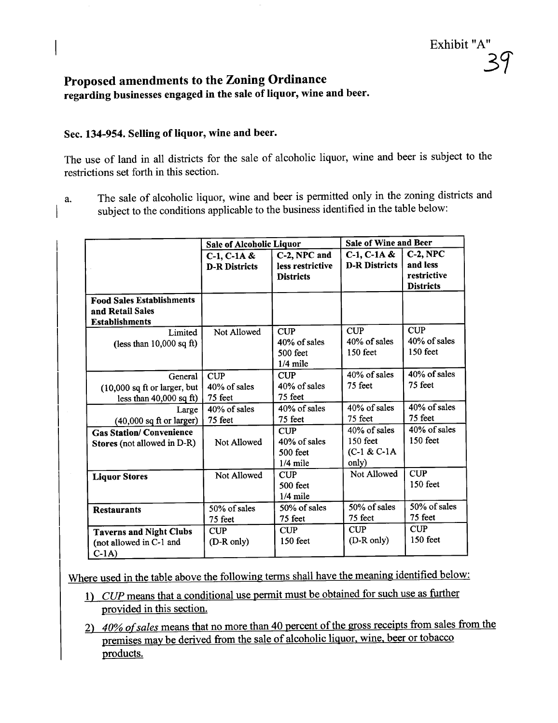# Proposed amendments to the Zoning Ordinance regarding businesses engaged in the sale of liquor, wine and beer.

### Sec. 134-954. Selling of liquor, wine and beer.

The use of land in all districts for the sale of alcoholic liquor, wine and beer is subject to the restrictions set forth in this section.

a. The sale of alcoholic liquor, wine and beer is permitted only in the zoning districts and subject to the conditions applicable to the business identified in the table below:

|                                                                               | <b>Sale of Alcoholic Liquor</b>          |                                                        | <b>Sale of Wine and Beer</b>                          |                                                            |  |
|-------------------------------------------------------------------------------|------------------------------------------|--------------------------------------------------------|-------------------------------------------------------|------------------------------------------------------------|--|
|                                                                               | $C-1$ , $C-1A &$<br><b>D-R Districts</b> | C-2, NPC and<br>less restrictive<br><b>Districts</b>   | $C-1$ , $C-1A &$<br><b>D-R Districts</b>              | $C-2$ , NPC<br>and less<br>restrictive<br><b>Districts</b> |  |
| <b>Food Sales Establishments</b><br>and Retail Sales<br><b>Establishments</b> |                                          |                                                        |                                                       |                                                            |  |
| Limited<br>(less than $10,000$ sq ft)                                         | Not Allowed                              | <b>CUP</b><br>40% of sales<br>$500$ feet<br>$1/4$ mile | <b>CUP</b><br>40% of sales<br>$150$ feet              | <b>CUP</b><br>40% of sales<br>$150$ feet                   |  |
| General<br>(10,000 sq ft or larger, but<br>less than $40,000$ sq ft)          | CUP<br>40% of sales<br>75 feet           | <b>CUP</b><br>40% of sales<br>75 feet                  | 40% of sales<br>75 feet                               | 40% of sales<br>75 feet                                    |  |
| Large<br>$(40,000$ sq ft or larger)                                           | 40% of sales<br>75 feet                  | 40% of sales<br>75 feet                                | 40% of sales<br>75 feet                               | 40% of sales<br>75 feet                                    |  |
| <b>Gas Station/ Convenience</b><br>Stores (not allowed in D-R)                | Not Allowed                              | <b>CUP</b><br>40% of sales<br>500 feet<br>$1/4$ mile   | $40\%$ of sales<br>150 feet<br>$(C-1 & C-1)$<br>only) | 40% of sales<br>150 feet                                   |  |
| <b>Liquor Stores</b>                                                          | Not Allowed                              | <b>CUP</b><br>500 feet<br>$1/4$ mile                   | Not Allowed                                           | <b>CUP</b><br>150 feet                                     |  |
| <b>Restaurants</b>                                                            | 50% of sales<br>75 feet                  | 50% of sales<br>75 feet                                | 50% of sales<br>75 feet                               | 50% of sales<br>75 feet                                    |  |
| <b>Taverns and Night Clubs</b><br>(not allowed in C-1 and<br>$C-1A$           | <b>CUP</b><br>(D-R only)                 | <b>CUP</b><br>$150$ feet                               | <b>CUP</b><br>(D-R only)                              | <b>CUP</b><br>150 feet                                     |  |

Where used in the table above the following terms shall have the meaning identified below:

- 1) CUP means that a conditional use permit must be obtained for such use as further provided in this section.
- 2) 40% of sales means that no more than 40 percent of the gross receipts from sales from the premises may be derived from the sale of alcoholic liquor, wine, beer or tobacco products.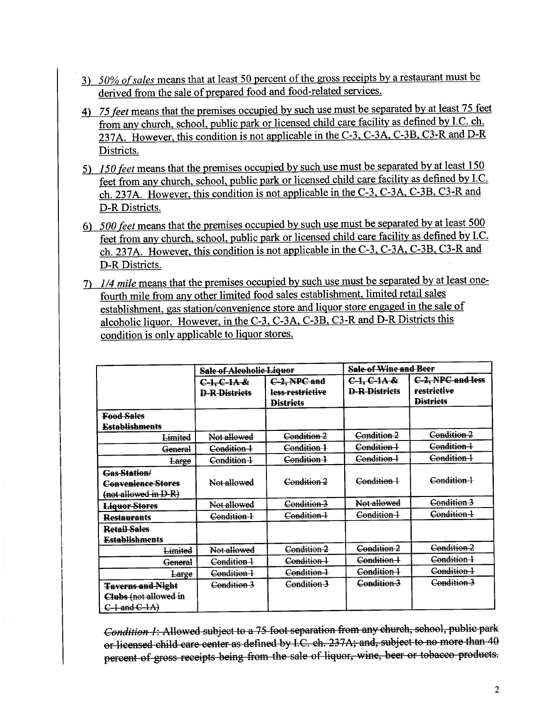- 3) 50% of sales means that at least 50 percent of the gross receipts by a restaurant must be derived from the sale of prepared food and food-related services.
- 4) 75 feet means that the premises occupied by such use must be separated by at least 75 feet from any church, school, public park or licensed child care facility as defined by I.C. ch. 237A. However. this condition is not applicable in the C-3. C-3A. C-3B. C3-R and D-R Districts.
- 5) 150 feet means that the premises occupied by such use must be separated by at least 150 feet from any church, school, public park or licensed child care facility as defined by I.C. ch.237A. However. this condition is not applicable in the C-3. C-3A. C-3B. C3-R and D-R Districts.
- 6) 500 feet means that the premises occupied by such use must be separated by at least 500 feet from any church, school, public park or licensed child care facility as defined by I.C. ch.237A. However. this condition is not applicable in the C-3. C-3A. C-3B. C3-R and D-R Districts.
- 7) 1/4 mile means that the premises occupied by such use must be separated by at least onefourth mile from any other limited food sales establishment. limited retail sales establishment. gas station/convenience store and liquor store engaged in the sale of alcoholic liquor. However. in the C-3. C-3A. C-3B. C3-R and D-R Districts this condition is only applicable to liquor stores.

|                                                                          | <b>Sale of Alcoholic Liquor</b>       |                                                      | <b>Sale of Wine and Beer</b>          |                                                      |  |
|--------------------------------------------------------------------------|---------------------------------------|------------------------------------------------------|---------------------------------------|------------------------------------------------------|--|
|                                                                          | $C-1, C-1A &$<br><b>D-R-Districts</b> | C-2, NPC and<br>less restrictive<br><b>Districts</b> | $C-1, C-1A &$<br><b>D-R-Districts</b> | C-2, NPC and less<br>restrictive<br><b>Districts</b> |  |
| <b>Food Sales</b>                                                        |                                       |                                                      |                                       |                                                      |  |
| <b>Establishments</b>                                                    |                                       |                                                      |                                       |                                                      |  |
| Limited                                                                  | Not allowed                           | Condition 2                                          | Condition 2                           | Condition 2                                          |  |
| General                                                                  | Condition 1                           | Condition 1                                          | Condition 1                           | Condition 1                                          |  |
| Large                                                                    | Condition 1                           | Condition 1                                          | Condition 1                           | Condition 1                                          |  |
| <b>Gas Station/</b><br><b>Convenience Stores</b><br>(not allowed in D-R) | Not allowed                           | Condition 2                                          | Condition 1                           | Condition 1                                          |  |
| Liquor Stores                                                            | Not allowed                           | Condition 3                                          | Not allowed                           | Condition 3                                          |  |
| <b>Restaurants</b>                                                       | Condition 1                           | Condition 1                                          | Condition 1                           | Condition 1                                          |  |
| <b>Retail Sales</b><br><b>Establishments</b>                             |                                       |                                                      |                                       |                                                      |  |
| Limited                                                                  | Not allowed                           | Condition 2                                          | Condition 2                           | Condition 2                                          |  |
| General                                                                  | Condition 1                           | Condition 1                                          | Condition 1                           | Condition 1                                          |  |
| Large                                                                    | Condition 1                           | Condition 1                                          | Condition 1                           | Condition 1                                          |  |
| <b>Taverns and Night</b><br>Clubs (not allowed in<br>$C-1$ and $C-1A$    | Condition 3                           | Condition 3                                          | Condition 3                           | Condition 3                                          |  |

Condition 1: Allowed subject to a 75 foot separation from any church, sehool, public park or licensed child care center as defined by I.C. ch. 237A; and, subject to no more than 40 percent of gross receipts being from the sale of liquor, wine, beer or tobacco products.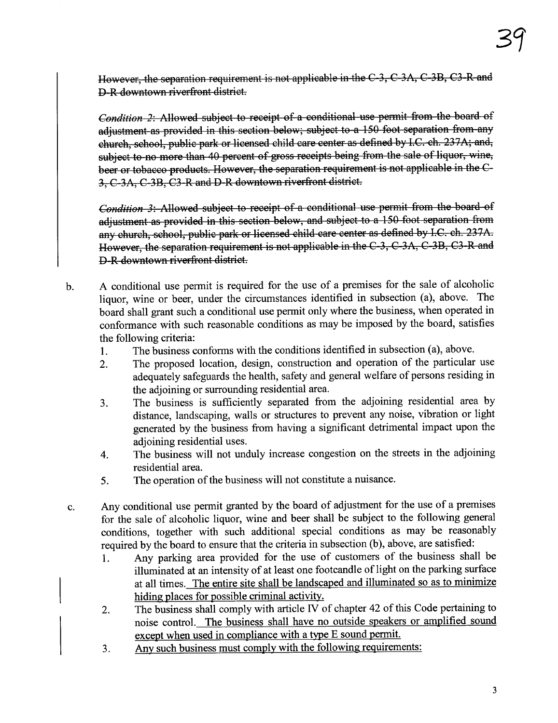However, the separation requirement is not applicable in the C-3, C-3A, C-3B, C3-R and D-R downtown riverfront district.

Condition 2: Allowed subject to receipt of a conditional use permit from the board of adjustment as provided in this section below; subject to a 150 foot separation from any church, school, public park or licensed child care center as defined by I.C. ch. 237A; and, subject to no more than 40 percent of gross receipts being from the sale of liquor, wine, beer or tobacco products. However, the separation requirement is not applicable in the C-3, C-3A, C-3B, C3-R and D-R downtown riverfront district.

Condition 3: Allowed subject to receipt of a conditional use permit from the board of adjustment as provided in this section below, and subject to a 150 foot separation from any church, school, public park or licensed ehild care center as defined by I.C. ch. 237A. However, the separation requirement is not applicable in the C-3, C-3A, C-3B, C3-R and D-R downtown riverfront district.

- b. A conditional use permit is required for the use of a premises for the sale of alcoholic liquor, wine or beer, under the circumstances identified in subsection (a), above. The board shall grant such a conditional use permit only where the business, when operated in conformance with such reasonable conditions as may be imposed by the board, satisfies the following criteria:
	- 1. The business conforms with the conditions identified in subsection (a), above.
	- 2. The proposed location, design, construction and operation of the particular use adequately safeguards the health, safety and general welfare of persons residing in the adjoining or surrounding residential area.
	- 3. The business is sufficiently separated from the adjoining residential area by distance, landscaping, walls or structures to prevent any noise, vibration or light generated by the business from having a significant detrimental impact upon the adioining residential uses.
	- 4. The business will not unduly increase congestion on the streets in the adjoining residential area.
	- 5. The operation of the business will not constitute a nuisance.
- c. Any conditional use permit granted by the board of adjustment for the use of a premises for the sale of alcoholic liquor, wine and beer shall be subject to the following general conditions, together with such additional special conditions as may be reasonably required by the board to ensure that the criteria in subsection (b), above, are satisfied:
	- 1. Any parking area provided for the use of customers of the business shall be illuminated at an intensity of at least one footcandle of light on the parking surface at all times. The entire site shall be landscaped and iluminated so as to minimize hiding places for possible criminal activity.
	- 2. The business shall comply with aricle IV of chapter 42 of this Code pertaining to noise control. The business shall have no outside speakers or amplified sound except when used in compliance with a type E sound permit.
	- 3. Any such business must comply with the following requirements: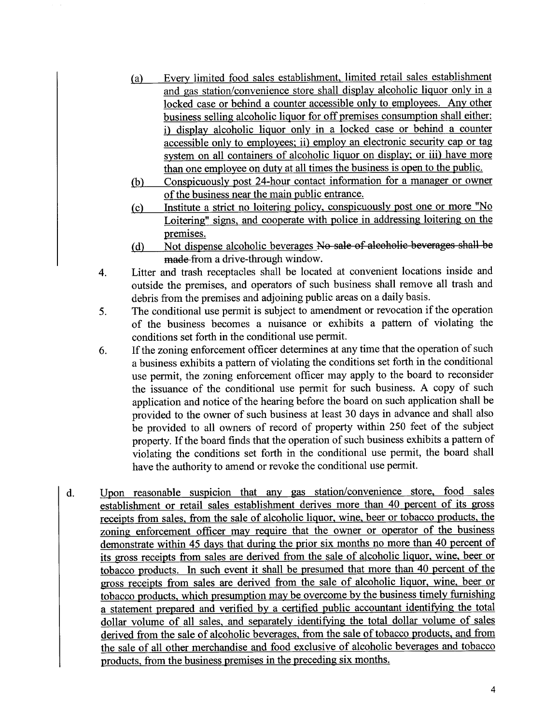- (a) Every limited food sales establishment. limited retail sales establishment and gas station/convenience store shall display alcoholic liquor only in a locked case or behind a counter accessible only to employees. Any other business selling alcoholic liquor for off premises consumption shall either: i) display alcoholic liquor only in a locked case or behind a counter accessible only to employees; ii) employ an electronic security cap or tag system on all containers of alcoholic liquor on display; or iii) have more than one employee on duty at all times the business is open to the public.
- (b) Conspicuously post 24-hour contact information for a manager or owner of the business near the main public entrance.<br>Institute a strict no loitering policy, conspicuously post one or more "No
- (c) Institute a strict no loitering policy. conspicuously post one or more "No Loitering" signs, and cooperate with police in addressing loitering on the premises.
- (d) Not dispense alcoholic beverages No sale of alcoholic beverages shall be made from a drive-through window.
- 4. Litter and trash receptacles shall be located at convenient locations inside and outside the premises, and operators of such business shall remove all trash and debris from the premises and adjoining public areas on a daily basis.
- 5. The conditional use permit is subject to amendment or revocation if the operation of the business becomes a nuisance or exhibits a pattern of violating the conditions set forth in the conditional use permit.
- 6. If the zoning enforcement officer determines at any time that the operation of such a business exhibits a pattern of violating the conditions set forth in the conditional use permit, the zoning enforcement officer may apply to the board to reconsider the issuance of the conditional use permit for such business. A copy of such application and notice of the hearing before the board on such application shall be provided to the owner of such business at least 30 days in advance and shall also be provided to all owners of record of property within 250 feet of the subject property. If the board finds that the operation of such business exhibits a pattern of violating the conditions set forth in the conditional use permit, the board shall have the authority to amend or revoke the conditional use permit.
- d. Upon reasonable suspicion that any gas station/convenience store. food sales establishment or retail sales establishment derives more than 40 percent of its gross receipts from sales. from the sale of alcoholic liquor. wine. beer or tobacco products. the zoning enforcement officer may require that the owner or operator of the business demonstrate within 45 days that during the prior six months no more than 40 percent of its gross receipts from sales are derived from the sale of alcoholic liquor. wine. beer or tobacco products. In such event it shall be presumed that more than 40 percent of the gross receipts from sales are derived from the sale of alcoholic liquor. wine. beer or tobacco products, which presumption may be overcome by the business timely furnishing a statement prepared and verified by a certified public accountant identifyng the total dollar volume of all sales, and separately identifying the total dollar volume of sales derived from the sale of alcoholic beverages, from the sale of tobacco products, and from the sale of all other merchandise and food exclusive of alcoholic beverages and tobacco products. from the business premises in the preceding six months.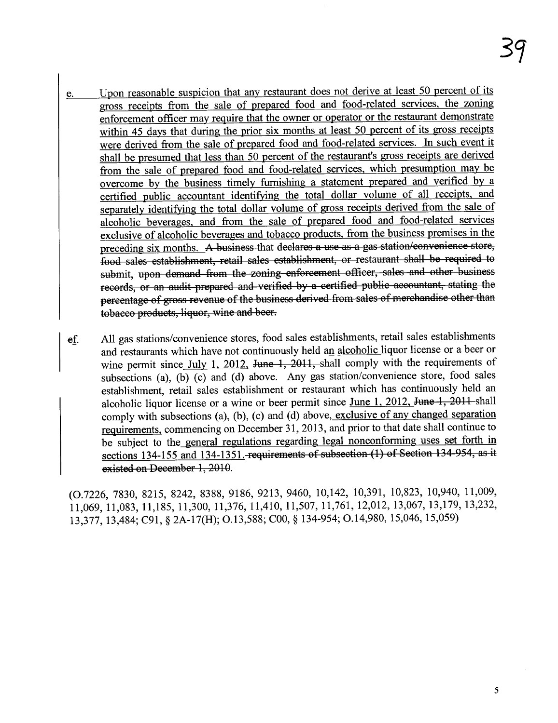- e. Upon reasonable suspicion that any restaurant does not derive at least 50 percent of its gross receipts from the sale of prepared food and food-related services. the zoning enforcement officer may require that the owner or operator or the restaurant demonstrate within 45 days that during the prior six months at least 50 percent of its gross receipts were derived from the sale of prepared food and food-related services. In such event it shall be presumed that less than 50 percent of the restaurant's gross receipts are derived from the sale of prepared food and food-related services. which presumption may be overcome by the business timely furnishing a statement prepared and verified by a certified public accountant identifyng the total dollar volume of all receipts. and separately identifyng the total dollar volume of gross receipts derived from the sale of alcoholic beverages. and from the sale of prepared food and food-related services exclusive of alcoholic beverages and tobacco products. from the business premises in the preceding six months. A business that declares a use as a gas station/convenience store, food sales establishment, retail sales establishment, or restaurant shall be required to submit, upon demand from the zoning enforcement officer, sales and other business records, or an audit prepared and verified by a certified public accountant, stating the percentage of gross revenue of the business derived from sales of merchandise other than tobacco products, liquor, wine and beer.
- ef. All gas stations/convenience stores, food sales establishments, retail sales establishments and restaurants which have not continuously held an alcoholic liquor license or a beer or wine permit since July 1, 2012, June 1, 2011, shall comply with the requirements of subsections (a), (b) (c) and (d) above. Any gas station/convenience store, food sales establishment, retail sales establishment or restaurant which has continuously held an alcoholic liquor license or a wine or beer permit since June 1, 2012, June 1, 2011 shall comply with subsections (a), (b), (c) and (d) above, exclusive of any changed separation requirements. commencing on December 31,2013, and prior to that date shall continue to be subject to the general regulations regarding legal nonconforming uses set forth in sections 134-155 and 134-1351. requirements of subsection (1) of Section 134-954, as it existed on December 1, 2010.

(0.7226, 7830, 8215, 8242, 8388, 9186, 9213, 9460, 10,142, 10,391, 10,823, 10,940, 11,009, 11,069, 11,083, 11,185, 11,300, 11,376, 11,410, 11,507, 11,761, 12,012, 13,067, 13,179, 13,232, 13,377,13,484; C91, § 2A-17(H); 0.13,588; COO, § 134-954; 0.14,980,15,046,15,059)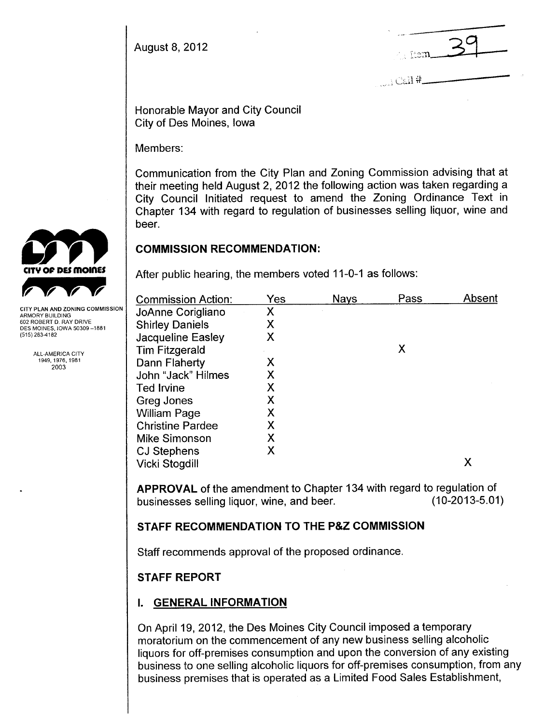August 8, 2012

 $\overline{\mathbb{R}}$  39

 $\ldots$ i Ca $\mathrm{l}$ i#..

Honorable Mayor and City Council City of Des Moines, Iowa

Members:

Communication from the City Plan and Zoning Commission advising that at their meeting held August 2, 2012 the following action was taken regarding a City Council Initiated request to amend the Zoning Ordinance Text in Chapter 134 with regard to regulation of businesses selling liquor, wine and beer.

## COMMISSION RECOMMENDATION:

After public hearing, the members voted 11-0-1 as follows:

| <b>Commission Action:</b> | Yes | <b>Nays</b> | Pass | Absent |
|---------------------------|-----|-------------|------|--------|
| JoAnne Corigliano         | Χ   |             |      |        |
| <b>Shirley Daniels</b>    | Χ   |             |      |        |
| Jacqueline Easley         | Χ   |             |      |        |
| <b>Tim Fitzgerald</b>     |     |             | Χ    |        |
| Dann Flaherty             | Χ   |             |      |        |
| John "Jack" Hilmes        | Χ   |             |      |        |
| <b>Ted Irvine</b>         | Χ   |             |      |        |
| Greg Jones                | Χ   |             |      |        |
| <b>William Page</b>       | Χ   |             |      |        |
| <b>Christine Pardee</b>   | Χ   |             |      |        |
| Mike Simonson             | Χ   |             |      |        |
| CJ Stephens               | Х   |             |      |        |
| Vicki Stogdill            |     |             |      | Χ      |

APPROVAL of the amendment to Chapter 134 with regard to regulation of businesses selling liquor, wine, and beer. (10-2013-5.01) businesses selling liquor, wine, and beer.

# STAFF RECOMMENDATION TO THE P&Z COMMISSION

Staff recommends approval of the proposed ordinance.

# STAFF REPORT

# i. GENERAL INFORMATION

On April 19, 2012, the Des Moines City Council imposed a temporary moratorium on the commencement of any new business selling alcoholic liquors for off-premises consumption and upon the conversion of any existing business to one selling alcoholic liquors for off-premises consumption, from any business premises that is operated as a Limited Food Sales Establishment,



ARMORY BUILDING 602 ROBERT D. RAY DRIVE DES MOINES. IOWA 50309 -1881 (515) 283-4182

> ALL-AMERICA CITY 1949,1976,1981 2003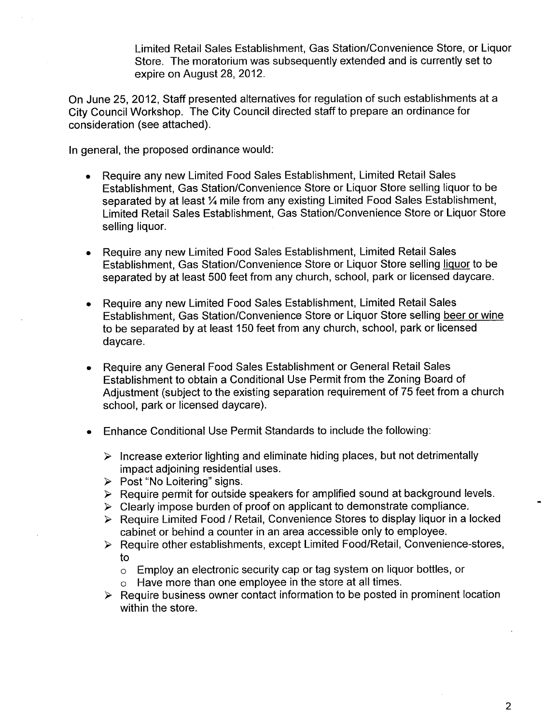Limited Retail Sales Establishment, Gas Station/Convenience Store, or Liquor Store. The moratorium was subsequently extended and is currently set to expire on August 28, 2012.

On June 25,2012, Staff presented alternatives for regulation of such establishments at a City Council Workshop. The City Council directed staff to prepare an ordinance for consideration (see attached).

In general, the proposed ordinance would:

- . Require any new Limited Food Sales Establishment, Limited Retail Sales Establishment, Gas Station/Convenience Store or Liquor Store selling liquor to be separated by at least 1/4 mile from any existing Limited Food Sales Establishment, Limited Retail Sales Establishment, Gas Station/Convenience Store or Liquor Store selling liquor.
- . Require any new Limited Food Sales Establishment, Limited Retail Sales Establishment, Gas Station/Convenience Store or Liquor Store selling liquor to be separated by at least 500 feet from any church, school, park or licensed daycare.
- . Require any new Limited Food Sales Establishment, Limited Retail Sales Establishment, Gas Station/Convenience Store or Liquor Store selling beer or wine to be separated by at least 150 feet from any church, school, park or licensed daycare.
- . Require any General Food Sales Establishment or General Retail Sales Establishment to obtain a Conditional Use Permit from the Zoning Board of Adjustment (subject to the existing separation requirement of 75 feet from a church school, park or licensed daycare).
- . Enhance Conditional Use Permit Standards to include the following:
	- $\triangleright$  Increase exterior lighting and eliminate hiding places, but not detrimentally impact adjoining residential uses.
	- $\triangleright$  Post "No Loitering" signs.
	- $\triangleright$  Require permit for outside speakers for amplified sound at background levels.
	- $\triangleright$  Clearly impose burden of proof on applicant to demonstrate compliance.
	- $\triangleright$  Require Limited Food / Retail, Convenience Stores to display liquor in a locked cabinet or behind a counter in an area accessible only to employee.
	- $\triangleright$  Require other establishments, except Limited Food/Retail, Convenience-stores, to
		- o Employ an electronic security cap or tag system on liquor bottles, or
		- o Have more than one employee in the store at all times.
	- $\triangleright$  Require business owner contact information to be posted in prominent location within the store.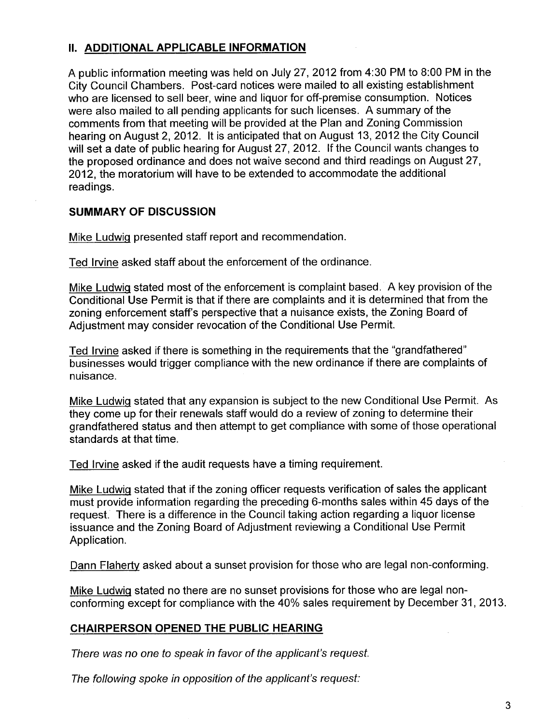# II. ADDITIONAL APPLICABLE INFORMATION

A public information meeting was held on July 27, 2012 from 4:30 PM to 8:00 PM in the City Council Chambers. Post-card notices were mailed to all existing establishment who are licensed to sell beer, wine and liquor for off-premise consumption. Notices were also mailed to all pending applicants for such licenses. A summary of the comments from that meeting wil be provided at the Plan and Zoning Commission hearing on August 2, 2012. It is anticipated that on August 13, 2012 the City Council will set a date of public hearing for August 27, 2012. If the Council wants changes to the proposed ordinance and does not waive second and third readings on August 27, 2012, the moratorium will have to be extended to accommodate the additional readings.

### SUMMARY OF DISCUSSION

Mike Ludwiq presented staff report and recommendation.

Ted Irvine asked staff about the enforcement of the ordinance.

Mike Ludwiq stated most of the enforcement is complaint based. A key provision of the Conditional Use Permit is that if there are complaints and it is determined that from the zoning enforcement staff's perspective that a nuisance exists, the Zoning Board of Adjustment may consider revocation of the Conditional Use Permit.

Ted Irvine asked if there is something in the requirements that the "grandfathered" businesses would trigger compliance with the new ordinance if there are complaints of nuisance.

Mike Ludwiq stated that any expansion is subject to the new Conditional Use Permit. As they come up for their renewals staff would do a review of zoning to determine their grandfathered status and then attempt to get compliance with some of those operational standards at that time.

Ted Irvine asked if the audit requests have a timing requirement.

Mike Ludwiq stated that if the zoning officer requests verification of sales the applicant must provide information regarding the preceding 6-months sales within 45 days of the request. There is a difference in the Council taking action regarding a liquor license issuance and the Zoning Board of Adjustment reviewing a Conditional Use Permit Application.

Dann Flaherty asked about a sunset provision for those who are legal non-conforming.

Mike Ludwiq stated no there are no sunset provisions for those who are legal nonconforming except for compliance with the 40% sales requirement by December 31,2013.

### CHAIRPERSON OPENED THE PUBLIC HEARING

There was no one to speak in favor of the applicant's request.

The following spoke in opposition of the applicant's request: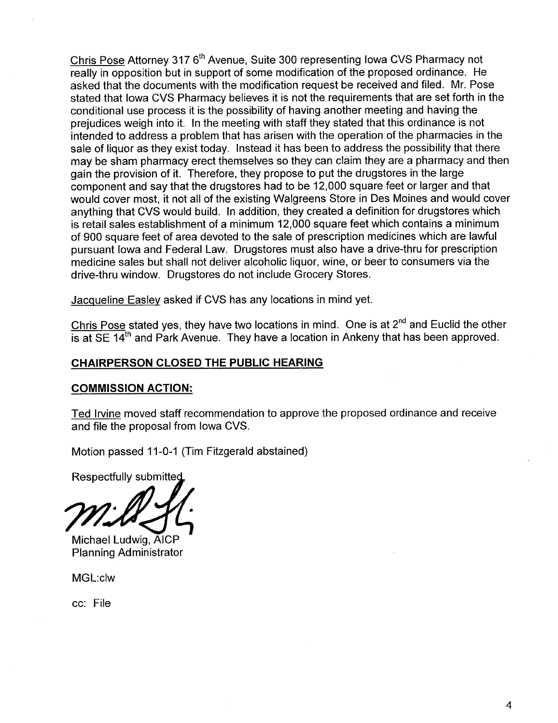Chris Pose Attorney 317 6<sup>th</sup> Avenue, Suite 300 representing Iowa CVS Pharmacy not really in opposition but in support of some modification of the proposed ordinance. He asked that the documents with the modification request be received and filed. Mr. Pose stated that Iowa CVS Pharmacy believes it is not the requirements that are set forth in the conditional use process it is the possibility of having another meeting and having the prejudices weigh into it. In the meeting with staff they stated that this ordinance is not intended to address a problem that has arisen with the operation of the pharmacies in the sale of liquor as they exist today. Instead it has been to address the possibility that there may be sham pharmacy erect themselves so they can claim they are a pharmacy and then gain the provision of it. Therefore, they propose to put the drugstores in the large component and say that the drugstores had to be 12,000 square feet or larger and that would cover most, it not all of the existing Walgreens Store in Des Moines and would cover anything that CVS would build. In addition, they created a definition for drugstores which is retail sales establishment of a minimum 12,000 square feet which contains a minimum of 900 square feet of area devoted to the sale of prescription medicines which are lawful pursuant Iowa and Federal Law. Drugstores must also have a drive-thru for prescription medicine sales but shall not deliver alcoholic liquor, wine, or beer to consumers via the drive-thru window. Drugstores do not include Grocery Stores.

Jacqueline Easlev asked if CVS has any locations in mind yet.

Chris Pose stated yes, they have two locations in mind. One is at  $2^{nd}$  and Euclid the other is at  $SE$  14<sup>th</sup> and Park Avenue. They have a location in Ankeny that has been approved.

### CHAIRPERSON CLOSED THE PUBLIC HEARING

### COMMISSION ACTION:

Ted Irvine moved staff recommendation to approve the proposed ordinance and receive and file the proposal from Iowa CVS.

Motion passed 11-0-1 (Tim Fitzgerald abstained)

Respectfully submitted

Michael Ludwig, AICP Planning Administrator

MGL:clw

cc: File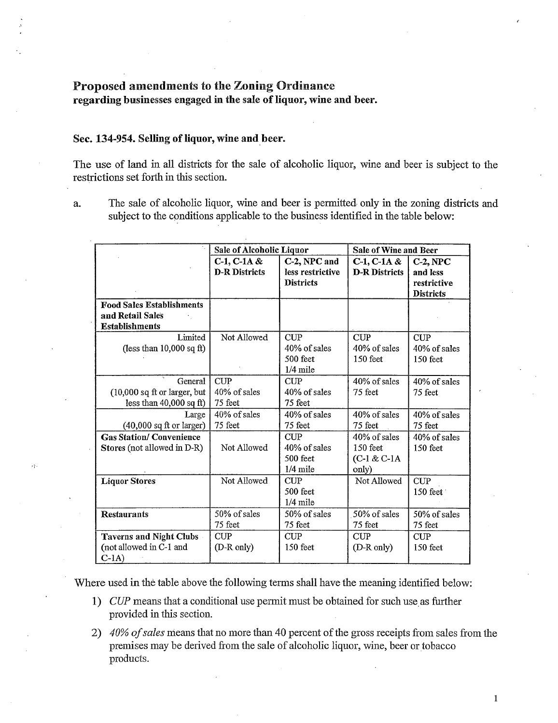#### Proposed amendments to the Zoning Ordinance

regarding businesses engaged in the sale of liquor, wine and beer.

#### Sec. 134-954. Selling of liquor, wine and beer.

 $\epsilon_{\rm F}^{\rm in}$ 

The use of land in all districts for the sale of alcoholic liquor, wine and beer is subject to the restrictions set forth in this section.

a. The sale of alcoholic liquor, wine and beer is permitted only in the zoning districts and subject to the conditions applicable to the business identified in the table below:

|                                  | Sale of Alcoholic Liquor |                  | Sale of Wine and Beer |                  |  |
|----------------------------------|--------------------------|------------------|-----------------------|------------------|--|
|                                  | $C-1$ , $C-1$ A &        | C-2, NPC and     | $C-1$ , $C-1$ A &     | $C-2, NPC$       |  |
|                                  | <b>D-R Districts</b>     | less restrictive | <b>D-R Districts</b>  | and less         |  |
|                                  |                          | <b>Districts</b> |                       | restrictive      |  |
|                                  |                          |                  |                       | <b>Districts</b> |  |
| <b>Food Sales Establishments</b> |                          |                  |                       |                  |  |
| and Retail Sales                 |                          |                  |                       |                  |  |
| <b>Establishments</b>            |                          |                  |                       |                  |  |
| Limited                          | Not Allowed              | <b>CUP</b>       | CUP                   | <b>CUP</b>       |  |
| (less than $10,000$ sq ft)       |                          | 40% of sales     | 40% of sales          | 40% of sales     |  |
|                                  |                          | 500 feet         | 150 feet              | 150 feet         |  |
|                                  |                          | $1/4$ mile       |                       |                  |  |
| General                          | <b>CUP</b>               | CUP              | 40% of sales          | 40% of sales     |  |
| $(10,000$ sq ft or larger, but   | 40% of sales             | 40% of sales     | 75 feet               | 75 feet          |  |
| less than $40,000$ sq ft)        | 75 feet                  | 75 feet          |                       |                  |  |
| Large                            | 40% of sales             | 40% of sales     | 40% of sales          | 40% of sales     |  |
| $(40,000$ sq ft or larger)       | 75 feet                  | 75 feet          | 75 feet               | 75 feet          |  |
| <b>Gas Station/Convenience</b>   |                          | <b>CUP</b>       | 40% of sales          | 40% of sales     |  |
| Stores (not allowed in D-R)      | Not Allowed              | 40% of sales     | 150 feet              | 150 feet         |  |
|                                  |                          | 500 feet         | $(C-1 & C-1)$         |                  |  |
|                                  |                          | $1/4$ mile       | only)                 |                  |  |
| <b>Liquor Stores</b>             | Not Allowed              | <b>CUP</b>       | Not Allowed           | CUP              |  |
|                                  |                          | 500 feet         |                       | 150 feet         |  |
|                                  |                          | $1/4$ mile       |                       |                  |  |
| <b>Restaurants</b>               | 50% of sales             | 50% of sales     | 50% of sales          | 50% of sales     |  |
|                                  | 75 feet                  | 75 feet          | 75 feet               | 75 feet          |  |
| Taverns and Night Clubs          | <b>CUP</b>               | <b>CUP</b>       | CUP                   | CUP              |  |
| (not allowed in C-1 and          | (D-R only)               | 150 feet         | (D-R only)            | 150 feet         |  |
| $C-1A$                           |                          |                  |                       |                  |  |

Where used in thè table above the following terms shall have the meaning identified below:

- 1) CUP means that a conditional use permit must be obtained for such use as further provided in this section.
- 2)  $40\%$  of sales means that no more than 40 percent of the gross receipts from sales from the premises may be derived from the sale of alcoholic liquor, wine, beer or tobacco products.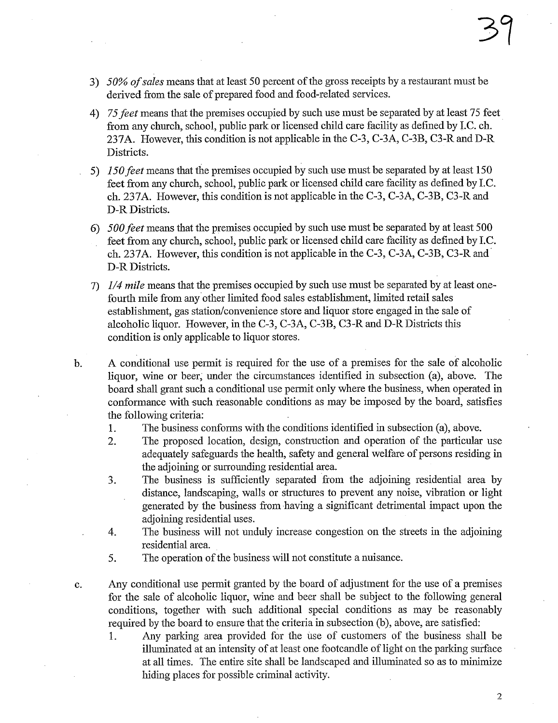- 3) 50% of sales means that at least 50 percent of the gross receipts by a restaurant must be derived from the sale of prepared food and food-related services.
- 4) 75 feet means that the premises occupied by such use must be separated by at least 75 feet from any church, school, public park or licensed child care facility as defined by I.C. ch. 237A. However, this condition is not applicable in the C-3, C-3A, C-3B, C3-R and D-R Districts.
- 5) 150 fiet means that the premises occupied by such use must be separated by at least 150 feet from any church, school, public park or licensed child care facility as defined by I.C. ch.237A. However, this condition is not applicable in the C-3, C-3A, C-3B, C3-R and D-R Districts.
- 6) 500 fiet means that the premises occupied by such use must be separated by at least 500 feet from any church, school, public park or licensed child care facility as defined by I.C. ch. 237A. However, this condition is not applicable in the C-3, C-3A, C-3B, C3-R and D-R Districts.
- 7)  $1/4$  mile means that the premises occupied by such use must be separated by at least onefourth mile from any other limited food sales establishment, limited retail sales establishment, gas station/convenience store and liquor store engaged in the sale of alcoholic liquor. However, in the C-3, C-3A, C-3B, C3-R and D-R Districts this condition is only applicable to liquor stores.
- b. A conditional use permit is required for the use of a premises for the sale of alcoholic liquor, wine or beer; under the circumstances identifed in subsection (a), above. The board shall grant such a conditional use permit only where the business, when operated in conformance with such reasonable conditions as may be imposed by the board, satisfies the following criteria:
	- 1. The business confonns with the conditions identified in subsection (a), above.
	- 2. The proposed location, design, construction and operation of the paricular use adequately safeguards the health, safety and general welfare of persons residing in the adjoining or surrounding residential area.
	- 3. The business is sufficiently separated from the adjoining residential area by distance, landscaping, walls or structues to prevent any noise, vibration or light generated by the business from having a sigiuficant detrimental impact upon the adjoining residential uses.
	- 4. The business will not unduly increase congestion on the streets in the adjoining residential area.
	- 5. The operation of the business will not constitute a nuisance.
- c. Any conditional use permit granted by the board of adjustment for the use of a premises for the sale of alcoholic liquor, wine and beer shall be subject to the following general conditions, together with such additional special conditions as may be reasonably required by the board to ensure that the criteria in subsection (b), above, are satisfied:
	- 1. Any parking area provided for the use of customers of the business shall be illuminated at an intensity of at least one footcandle of light on the parking surface at all times. The entire site shall be landscaped and iluminated so as to minimize hiding places for possible criminal activity.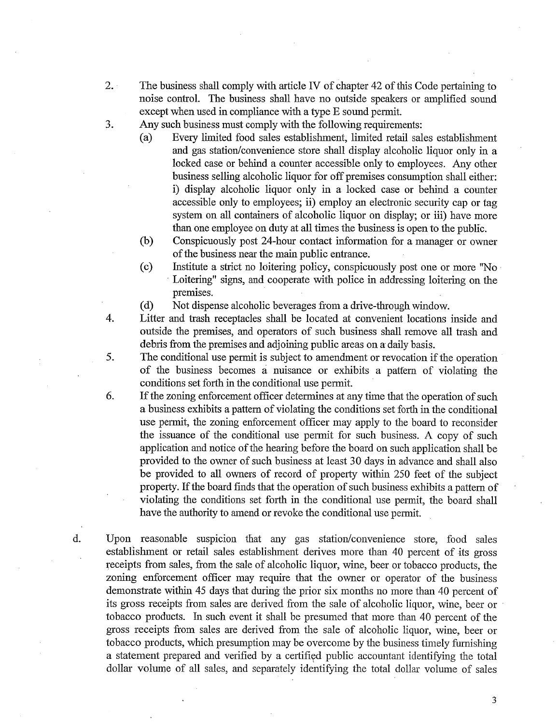- 2. The business shall comply with article IV of chapter 42 of this Code pertaining to noise control. The business shall have no outside speakers or amplified sound except when used in compliance with a type E sound permit.
- 3. Any such business must comply with the following requirements:
	- (a) Every limited food sales establishment, limited retail sales establishment and gas station/convenience store shall display alcoholic liquor only in a locked case or behind a counter accessible only to employees. Any other business sellng alcoholic liquor for off premises consumption shall either: i) display alcoholic liquor only in a locked case or behind a counter accessible only to employees; ii) employ an electronic security cap or tag system on all containers of alcoholic liquor on display; or iii) have more than one employee on duty at all times the business is open to the public.
	- (b) Conspicuously post 24-hour contact information for a manager or owner of the business near the main public entrance.
	- (c) Institute a strict no loitering policy, conspicuously post one or more "No' Loitering" signs, and cooperate with police in addressing loitering on the premises.
	- (d) Not dispense alcoholic beverages from a drive-through window.
- 4. Litter and trash receptacles shall be located at convenient locations inside and outside the premises, and operators of such business shall remove all trash and debris from the premises and adjoining public areas on a daily basis.
- 5. The conditional use permt is subject to amendment or revocation if the operation of the business becomes a nuisance or exhbits a pattern of violating the conditions set forth in the conditional use permit.
- 6. If the zoning enforcement officer determines at any time that the operation of such a business exhibits a pattern of violating the conditions set forth in the conditional use permit, the zoning enforcement officer may apply to the board to reconsider the issuance of the conditional use permit for such business. A copy of such application and notice of the hearing before the board on such application shall be provided to the owner of such business at least 30 days in advance and shall also be provided to all owners of record of property within 250 feet of the subject property. If the board finds that the operation of such business exhibits a pattern of violating the conditions set forth in the conditional use permit, the board shall have the authority to amend or revoke the conditional use permit.
- d. Upon reasonable suspicion that any gas station/convenience store, food sales establishment or retail sales establishment derives more than 40 percent of its gross receipts from sales, from the sale of alcoholic liquor, wine, beer or tobacco products, the zoning enforcement officer may require that the owner or operator of the business demonstrate within 45 days that during the prior six months no more than 40 percent of its gross receipts from sales are derived from the sale of alcoholic liquor, wine, beer or . tobacco products. In such event it shall be presumed that more than 40 percent of the gross receipts from sales are derived from the sale of alcoholic liquor, wine, beer or to bacco products, which presumption may be overcome by the business timely furnishing a statement prepared and verified by a certified public accountant identifying the total dollar volume of all sales, and separately identifying the total dollar volume of sales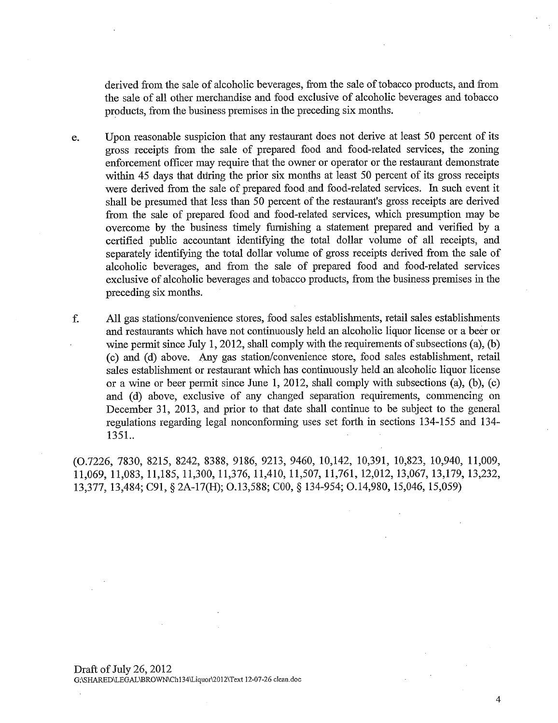derived from the sale of alcoholic beverages, from the sale of tobacco products, and from the sale of all other merchandise and food exclusive of alcoholic beverages and tobacco products, from the business premises in the preceding six months.

- e. Upon reasonable suspicion that any restaurant does not derive at least 50 percent of its gross receipts from the sale of prepared food and food-related services, the zonig enforcement officer may require that the owner or operator or the restaurant demonstrate within 45 days that during the prior six months at least 50 percent of its gross receipts were derived from the sale of prepared food and food-related services. In such event it shall be presumed that less than 50 percent of the restaurant's gross receipts are derived from the sale of prepared food and food-related services, which presumption may be overcome by the business timely funushig a statement prepared and verified by a certified public accountant identifying the total dollar volume of all receipts, and separately identifying the total dollar volume of gross receipts derived from the sale of alcoholic beverages, and from the sale of prepared food and food-related services exclusive of alcoholic beverages and tobacco products, from the business premises in the preceding six months.
- f. All gas stations/convenience stores, food sales establishments, retail sales establishments and restaurants which have not continuously held an alcoholic liquor license or a beer or wine permit since July 1, 2012, shall comply with the requirements of subsections (a), (b) ( c) and (d) above. Any gas station/convenience store, food sales establishment, retail sales establishment or restaurant which has continuously held an alcoholic liquor license or a wine or beer permit since June 1, 2012, shall comply with subsections (a), (b), (c) and (d) above, exclusive of any changed separation requirements, commencing on December 31, 2013, and prior to that date shall continue to be subject to the general regulations regarding legal nonconforming uses set forth in sections 134- 155 and 134- 1351.

(0.7226, 7830, 8215, 8242, 8388, 9186, 9213, 9460, 10,142, 10,391, 10,823, 10,940, 11,009, 11,069, 11,083, 11,185, 11,300, 11,376, 11,410, 11,507, 11,761, 12,012, 13,067, 13,179, 13,232, 13,377, 13,484; C91, § 2A-17(H; 0.13,588; COO, § 134-954; 0.14,980,15,046,15,059)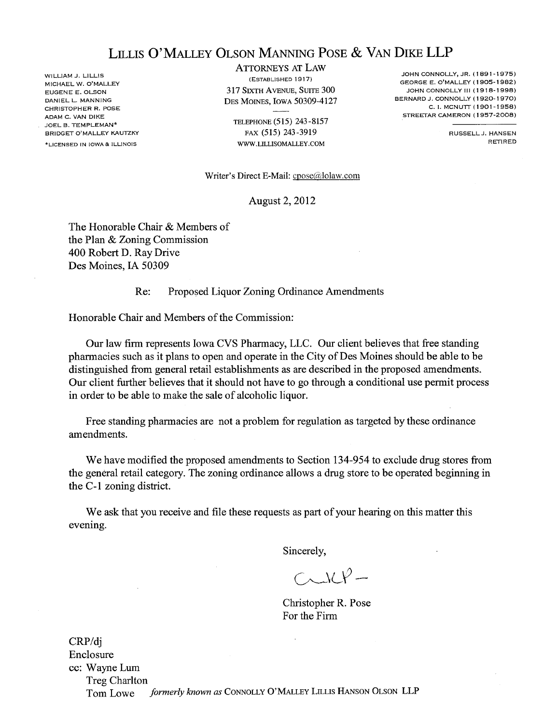# LILLIS O'MALLEY OLSON MANING POSE & VAN DIKE LLP

'LICENSED IN IOWA & ILLINOIS WILLIAM J. LILLIS MICHAEL W. O'MALLEY EUGENE E. OLSON DANIEL L. MANNING CHRISTOPHER R. POSE ADAM C. VAN DIKE JOEL B. TEMPLEMAN' BRIDGET O'MALLEY KAUTZKY

ATTORNYS AT LAW (ESTABLISHED 1917) 317 SIXTH AVENUE, SUITE 300 DES MOINS, IOWA 50309-4127

TELEPHONE (515) 243-8157 FAX (515) 243-3919 WW.LILLISOMALLEY.COM

JOHN CONNOLLY, JR. (1891-1975) GEORGE E. O'MALLEY (1905-1982) JOHN CONNOLLY III (1918-1998) BERNARD J. CONNOLLY (1920-1970) C. I. MCNUTT (1901-1958) STREETAR CAMERON (1957-2008)

> RUSSELL J. HANSEN RETIRED

Writer's Direct E-Mail:  $\text{cpose}(\hat{a})$ lolaw.com

August 2,2012

The Honorable Chair & Members of the Plan & Zoning Commission 400 Robert D. Ray Drive Des Moines, lA 50309

#### Re: Proposed Liquor Zoning Ordinance Amendments

Honorable Chair and Members of the Commission:

Our law firm represents Iowa CVS Pharacy, LLC. Our client believes that free standing pharmacies such as it plans to open and operate in the City of Des Moines should be able to be distinguished from general retail establishments as are described in the proposed amendments. Our client further believes that it should not have to go through a conditional use permit process in order to be able to make the sale of alcoholic liquor.

Free standing pharmacies are not a problem for regulation as targeted by these ordinance amendments.

We have modified the proposed amendments to Section 134-954 to exclude drug stores from the genèral retail category. The zoning ordinance allows a drug store to be operated beginning in the C-1 zoning district.

We ask that you receive and file these requests as part of your hearing on this matter this evening.

Sincerely,

 $C\sim\lambda C P-$ 

Christopher R. Pose For the Firm